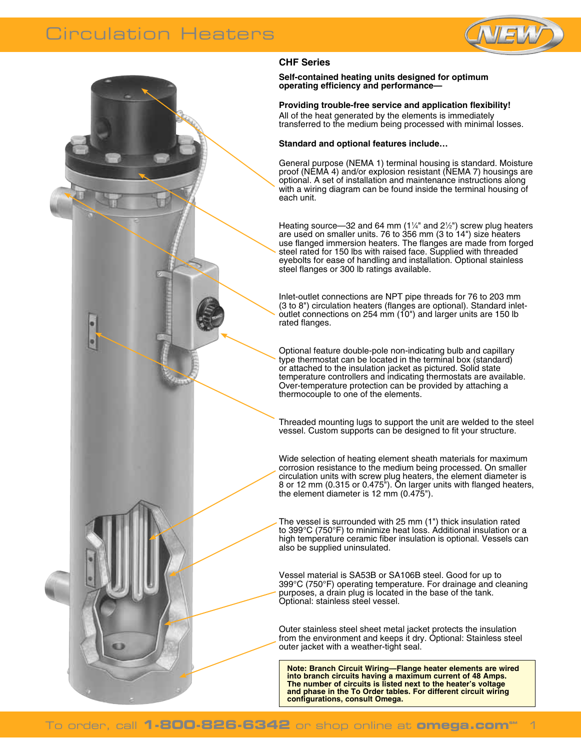# Circulation Heaters





## **CHF Series**

**Self-contained heating units designed for optimum operating efficiency and performance—** 

**Providing trouble-free service and application flexibility!**

All of the heat generated by the elements is immediately transferred to the medium being processed with minimal losses.

#### **Standard and optional features include…**

General purpose (NEMA 1) terminal housing is standard. Moisture proof (NEMA 4) and/or explosion resistant (NEMA 7) housings are optional. A set of installation and maintenance instructions along with a wiring diagram can be found inside the terminal housing of each unit.

Heating source—32 and 64 mm (1¼" and 2½") screw plug heaters are used on smaller units. 76 to 356 mm (3 to 14") size heaters use flanged immersion heaters. The flanges are made from forged steel rated for 150 lbs with raised face. Supplied with threaded eyebolts for ease of handling and installation. Optional stainless steel flanges or 300 lb ratings available.

Inlet-outlet connections are NPT pipe threads for 76 to 203 mm (3 to 8") circulation heaters (flanges are optional). Standard inletoutlet connections on 254 mm (10") and larger units are 150 lb rated flanges.

Optional feature double-pole non-indicating bulb and capillary type thermostat can be located in the terminal box (standard) or attached to the insulation jacket as pictured. Solid state temperature controllers and indicating thermostats are available. Over-temperature protection can be provided by attaching a thermocouple to one of the elements.

Threaded mounting lugs to support the unit are welded to the steel vessel. Custom supports can be designed to fit your structure.

Wide selection of heating element sheath materials for maximum corrosion resistance to the medium being processed. On smaller circulation units with screw plug heaters, the element diameter is 8 or 12 mm (0.315 or 0.475"). On larger units with flanged heaters, the element diameter is 12 mm (0.475").

The vessel is surrounded with 25 mm (1") thick insulation rated to 399°C (750°F) to minimize heat loss. Additional insulation or a high temperature ceramic fiber insulation is optional. Vessels can also be supplied uninsulated.

Vessel material is SA53B or SA106B steel. Good for up to 399°C (750°F) operating temperature. For drainage and cleaning purposes, a drain plug is located in the base of the tank. Optional: stainless steel vessel.

Outer stainless steel sheet metal jacket protects the insulation from the environment and keeps it dry. Optional: Stainless steel outer jacket with a weather-tight seal.

**Note: Branch Circuit Wiring—Flange heater elements are wired into branch circuits having a maximum current of 48 Amps. The number of circuits is listed next to the heater's voltage and phase in the To Order tables. For different circuit wiring configurations, consult Omega.**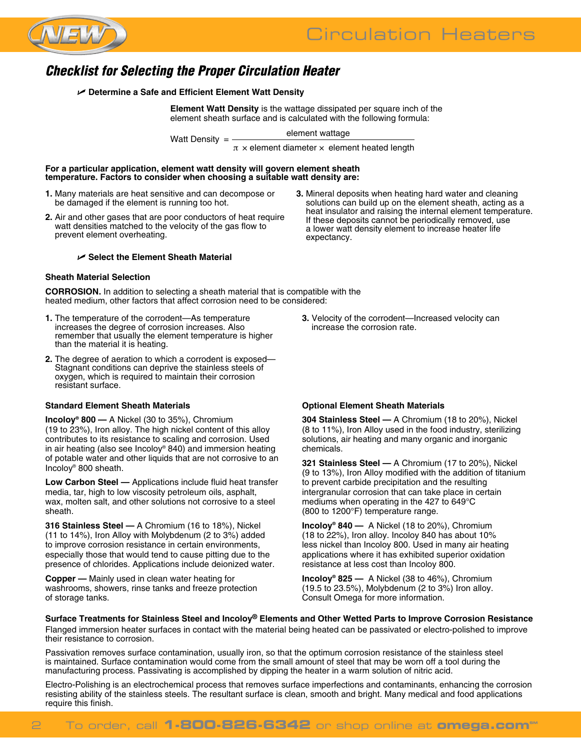

# Circulation Heaters

# *Checklist for Selecting the Proper Circulation Heater*

U **Determine a Safe and Efficient Element Watt Density**

**Element Watt Density** is the wattage dissipated per square inch of the element sheath surface and is calculated with the following formula:

element wattage Watt Density <sup>=</sup>

 $\pi$  × element diameter × element heated length

**For a particular application, element watt density will govern element sheath temperature. Factors to consider when choosing a suitable watt density are:**

- **1.** Many materials are heat sensitive and can decompose or be damaged if the element is running too hot.
- **2.** Air and other gases that are poor conductors of heat require watt densities matched to the velocity of the gas flow to prevent element overheating.

#### U **Select the Element Sheath Material**

#### **Sheath Material Selection**

**CORROSION.** In addition to selecting a sheath material that is compatible with the heated medium, other factors that affect corrosion need to be considered:

- **1.** The temperature of the corrodent—As temperature increases the degree of corrosion increases. Also remember that usually the element temperature is higher than the material it is heating.
- **2.** The degree of aeration to which a corrodent is exposed— Stagnant conditions can deprive the stainless steels of oxygen, which is required to maintain their corrosion resistant surface.

#### **Standard Element Sheath Materials**

**Incoloy® 800 —** A Nickel (30 to 35%), Chromium (19 to 23%), Iron alloy. The high nickel content of this alloy contributes to its resistance to scaling and corrosion. Used in air heating (also see Incoloy® 840) and immersion heating of potable water and other liquids that are not corrosive to an Incoloy® 800 sheath.

**Low Carbon Steel —** Applications include fluid heat transfer media, tar, high to low viscosity petroleum oils, asphalt, wax, molten salt, and other solutions not corrosive to a steel sheath.

**316 Stainless Steel —** A Chromium (16 to 18%), Nickel (11 to 14%), Iron Alloy with Molybdenum (2 to 3%) added to improve corrosion resistance in certain environments, especially those that would tend to cause pitting due to the presence of chlorides. Applications include deionized water.

**Copper —** Mainly used in clean water heating for washrooms, showers, rinse tanks and freeze protection of storage tanks.

solutions can build up on the element sheath, acting as a heat insulator and raising the internal element temperature. If these deposits cannot be periodically removed, use a lower watt density element to increase heater life expectancy.

**3.** Mineral deposits when heating hard water and cleaning

**3.** Velocity of the corrodent—Increased velocity can increase the corrosion rate.

#### **Optional Element Sheath Materials**

**304 Stainless Steel —** A Chromium (18 to 20%), Nickel (8 to 11%), Iron Alloy used in the food industry, sterilizing solutions, air heating and many organic and inorganic chemicals.

**321 Stainless Steel —** A Chromium (17 to 20%), Nickel (9 to 13%), Iron Alloy modified with the addition of titanium to prevent carbide precipitation and the resulting intergranular corrosion that can take place in certain mediums when operating in the 427 to 649°C (800 to 1200°F) temperature range.

**Incoloy® 840 —** A Nickel (18 to 20%), Chromium (18 to 22%), Iron alloy. Incoloy 840 has about 10% less nickel than Incoloy 800. Used in many air heating applications where it has exhibited superior oxidation resistance at less cost than Incoloy 800.

**Incoloy® 825 —** A Nickel (38 to 46%), Chromium (19.5 to 23.5%), Molybdenum (2 to 3%) Iron alloy. Consult Omega for more information.

**Surface Treatments for Stainless Steel and Incoloy® Elements and Other Wetted Parts to Improve Corrosion Resistance** Flanged immersion heater surfaces in contact with the material being heated can be passivated or electro-polished to improve their resistance to corrosion.

Passivation removes surface contamination, usually iron, so that the optimum corrosion resistance of the stainless steel is maintained. Surface contamination would come from the small amount of steel that may be worn off a tool during the manufacturing process. Passivating is accomplished by dipping the heater in a warm solution of nitric acid.

Electro-Polishing is an electrochemical process that removes surface imperfections and contaminants, enhancing the corrosion resisting ability of the stainless steels. The resultant surface is clean, smooth and bright. Many medical and food applications require this finish.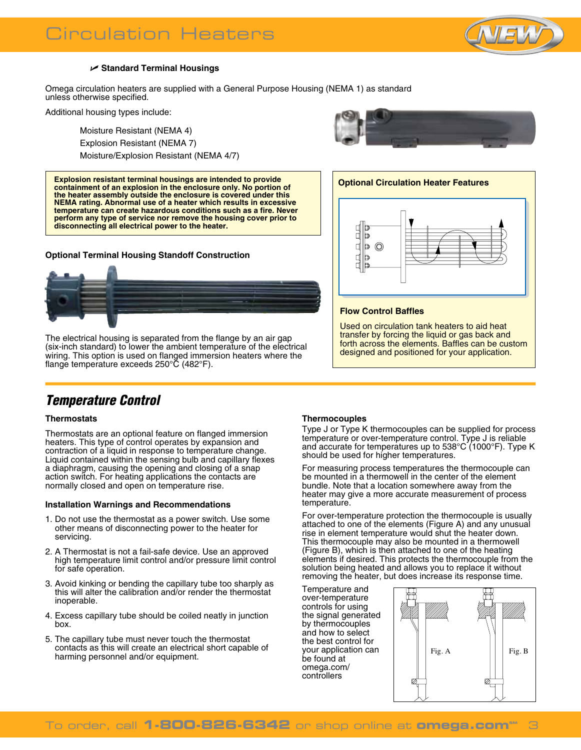

### U **Standard Terminal Housings**

Omega circulation heaters are supplied with a General Purpose Housing (NEMA 1) as standard unless otherwise specified.

Additional housing types include:

Moisture Resistant (NEMA 4) Explosion Resistant (NEMA 7) Moisture/Explosion Resistant (NEMA 4/7)

**Optional Circulation Heater Features Explosion resistant terminal housings are intended to provide containment of an explosion in the enclosure only. No portion of the heater assembly outside the enclosure is covered under this NEMA rating. Abnormal use of a heater which results in excessive temperature can create hazardous conditions such as a fire. Never perform any type of service nor remove the housing cover prior to disconnecting all electrical power to the heater.**

### **Optional Terminal Housing Standoff Construction**



The electrical housing is separated from the flange by an air gap (six-inch standard) to lower the ambient temperature of the electrical wiring. This option is used on flanged immersion heaters where the flange temperature exceeds 250°C (482°F).





#### **Flow Control Baffles**

Used on circulation tank heaters to aid heat transfer by forcing the liquid or gas back and forth across the elements. Baffles can be custom designed and positioned for your application.

# *Temperature Control*

### **Thermostats**

Thermostats are an optional feature on flanged immersion heaters. This type of control operates by expansion and contraction of a liquid in response to temperature change. Liquid contained within the sensing bulb and capillary flexes a diaphragm, causing the opening and closing of a snap action switch. For heating applications the contacts are normally closed and open on temperature rise.

#### **Installation Warnings and Recommendations**

- 1. Do not use the thermostat as a power switch. Use some other means of disconnecting power to the heater for servicing.
- 2. A Thermostat is not a fail-safe device. Use an approved high temperature limit control and/or pressure limit control for safe operation.
- 3. Avoid kinking or bending the capillary tube too sharply as this will alter the calibration and/or render the thermostat inoperable.
- 4. Excess capillary tube should be coiled neatly in junction box.
- 5. The capillary tube must never touch the thermostat contacts as this will create an electrical short capable of harming personnel and/or equipment.

#### **Thermocouples**

Type J or Type K thermocouples can be supplied for process temperature or over-temperature control. Type J is reliable and accurate for temperatures up to 538°C (1000°F). Type K should be used for higher temperatures.

For measuring process temperatures the thermocouple can be mounted in a thermowell in the center of the element bundle. Note that a location somewhere away from the heater may give a more accurate measurement of process temperature.

For over-temperature protection the thermocouple is usually attached to one of the elements (Figure A) and any unusual rise in element temperature would shut the heater down. This thermocouple may also be mounted in a thermowell (Figure B), which is then attached to one of the heating elements if desired. This protects the thermocouple from the solution being heated and allows you to replace it without removing the heater, but does increase its response time.

Temperature and over-temperature controls for using the signal generated by thermocouples and how to select the best control for your application can be found at omega.com/ controllers

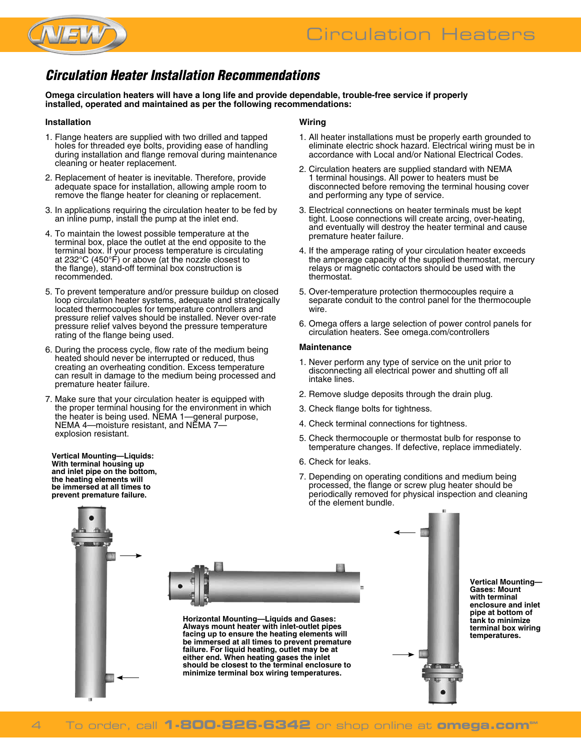

# *Circulation Heater Installation Recommendations*

**Omega circulation heaters will have a long life and provide dependable, trouble-free service if properly installed, operated and maintained as per the following recommendations:**

#### **Installation**

- 1. Flange heaters are supplied with two drilled and tapped holes for threaded eye bolts, providing ease of handling during installation and flange removal during maintenance cleaning or heater replacement.
- 2. Replacement of heater is inevitable. Therefore, provide adequate space for installation, allowing ample room to remove the flange heater for cleaning or replacement.
- 3. In applications requiring the circulation heater to be fed by an inline pump, install the pump at the inlet end.
- 4. To maintain the lowest possible temperature at the terminal box, place the outlet at the end opposite to the terminal box. If your process temperature is circulating at 232°C (450°F) or above (at the nozzle closest to the flange), stand-off terminal box construction is recommended.
- 5. To prevent temperature and/or pressure buildup on closed loop circulation heater systems, adequate and strategically located thermocouples for temperature controllers and pressure relief valves should be installed. Never over-rate pressure relief valves beyond the pressure temperature rating of the flange being used.
- 6. During the process cycle, flow rate of the medium being heated should never be interrupted or reduced, thus creating an overheating condition. Excess temperature can result in damage to the medium being processed and premature heater failure.
- 7. Make sure that your circulation heater is equipped with the proper terminal housing for the environment in which the heater is being used. NEMA 1—general purpose, NEMA 4—moisture resistant, and NEMA 7 explosion resistant.

**Vertical Mounting—Liquids: With terminal housing up and inlet pipe on the bottom, the heating elements will be immersed at all times to prevent premature failure.**

#### **Wiring**

- 1. All heater installations must be properly earth grounded to eliminate electric shock hazard. Electrical wiring must be in accordance with Local and/or National Electrical Codes.
- 2. Circulation heaters are supplied standard with NEMA 1 terminal housings. All power to heaters must be disconnected before removing the terminal housing cover and performing any type of service.
- 3. Electrical connections on heater terminals must be kept tight. Loose connections will create arcing, over-heating, and eventually will destroy the heater terminal and cause premature heater failure.
- 4. If the amperage rating of your circulation heater exceeds the amperage capacity of the supplied thermostat, mercury relays or magnetic contactors should be used with the thermostat.
- 5. Over-temperature protection thermocouples require a separate conduit to the control panel for the thermocouple wire.
- 6. Omega offers a large selection of power control panels for circulation heaters. See omega.com/controllers

#### **Maintenance**

- 1. Never perform any type of service on the unit prior to disconnecting all electrical power and shutting off all intake lines.
- 2. Remove sludge deposits through the drain plug.
- 3. Check flange bolts for tightness.
- 4. Check terminal connections for tightness.
- 5. Check thermocouple or thermostat bulb for response to temperature changes. If defective, replace immediately.
- 6. Check for leaks.
- 7. Depending on operating conditions and medium being processed, the flange or screw plug heater should be periodically removed for physical inspection and cleaning of the element bundle.

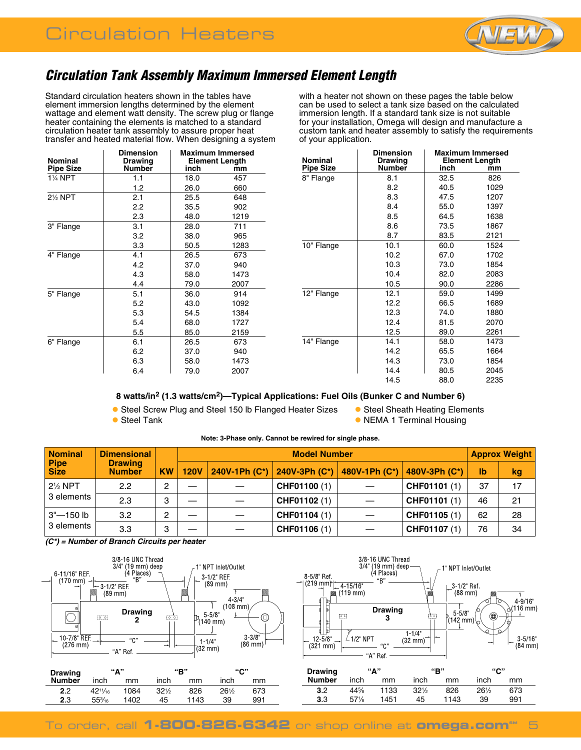

# *Circulation Tank Assembly Maximum Immersed Element Length*

Standard circulation heaters shown in the tables have element immersion lengths determined by the element wattage and element watt density. The screw plug or flange heater containing the elements is matched to a standard circulation heater tank assembly to assure proper heat transfer and heated material flow. When designing a system with a heater not shown on these pages the table below can be used to select a tank size based on the calculated immersion length. If a standard tank size is not suitable for your installation, Omega will design and manufacture a custom tank and heater assembly to satisfy the requirements of your application.

| <b>Nominal</b><br><b>Pipe Size</b> | Dimension<br><b>Drawing</b><br><b>Number</b> | <b>Maximum Immersed</b><br><b>Element Length</b><br>inch<br>mm |      |  |  |
|------------------------------------|----------------------------------------------|----------------------------------------------------------------|------|--|--|
| 1¼ NPT                             | 1.1                                          | 18.0                                                           | 457  |  |  |
|                                    | 1.2                                          | 26.0                                                           | 660  |  |  |
| 2 <sup>1</sup> / <sub>2</sub> NPT  | 2.1                                          | 25.5                                                           | 648  |  |  |
|                                    | 2.2                                          | 35.5                                                           | 902  |  |  |
|                                    | 2.3                                          | 48.0                                                           | 1219 |  |  |
| 3" Flange                          | 3.1                                          | 28.0                                                           | 711  |  |  |
|                                    | 3.2                                          | 38.0                                                           | 965  |  |  |
|                                    | 3.3                                          | 50.5                                                           | 1283 |  |  |
| 4" Flange                          | 4.1                                          | 26.5                                                           | 673  |  |  |
|                                    | 4.2                                          | 37.0                                                           | 940  |  |  |
|                                    | 4.3                                          | 58.0                                                           | 1473 |  |  |
|                                    | 4.4                                          | 79.0                                                           | 2007 |  |  |
| 5" Flange                          | 5.1                                          | 36.0                                                           | 914  |  |  |
|                                    | 5.2                                          | 43.0                                                           | 1092 |  |  |
|                                    | 5.3                                          | 54.5                                                           | 1384 |  |  |
|                                    | 5.4                                          | 68.0                                                           | 1727 |  |  |
|                                    | 5.5                                          | 85.0                                                           | 2159 |  |  |
| 6" Flange                          | 6.1                                          | 26.5                                                           | 673  |  |  |
|                                    | 6.2                                          | 37.0                                                           | 940  |  |  |
|                                    | 6.3                                          | 58.0                                                           | 1473 |  |  |
|                                    | 6.4                                          | 79.0                                                           | 2007 |  |  |

| <b>Nominal</b><br><b>Pipe Size</b> | <b>Dimension</b><br><b>Drawing</b><br><b>Number</b> | inch | <b>Maximum Immersed</b><br><b>Element Length</b><br>mm |
|------------------------------------|-----------------------------------------------------|------|--------------------------------------------------------|
| 8" Flange                          | 8.1                                                 | 32.5 | 826                                                    |
|                                    | 8.2                                                 | 40.5 | 1029                                                   |
|                                    | 8.3                                                 | 47.5 | 1207                                                   |
|                                    | 8.4                                                 | 55.0 | 1397                                                   |
|                                    | 8.5                                                 | 64.5 | 1638                                                   |
|                                    | 8.6                                                 | 73.5 | 1867                                                   |
|                                    | 8.7                                                 | 83.5 | 2121                                                   |
| 10" Flange                         | 10.1                                                | 60.0 | 1524                                                   |
|                                    | 10.2                                                | 67.0 | 1702                                                   |
|                                    | 10.3                                                | 73.0 | 1854                                                   |
|                                    | 10.4                                                | 82.0 | 2083                                                   |
|                                    | 10.5                                                | 90.0 | 2286                                                   |
| 12" Flange                         | 12.1                                                | 59.0 | 1499                                                   |
|                                    | 12.2                                                | 66.5 | 1689                                                   |
|                                    | 12.3                                                | 74.0 | 1880                                                   |
|                                    | 12.4                                                | 81.5 | 2070                                                   |
|                                    | 12.5                                                | 89.0 | 2261                                                   |
| 14" Flange                         | 14.1                                                | 58.0 | 1473                                                   |
|                                    | 14.2                                                | 65.5 | 1664                                                   |
|                                    | 14.3                                                | 73.0 | 1854                                                   |
|                                    | 14.4                                                | 80.5 | 2045                                                   |
|                                    | 14.5                                                | 88.0 | 2235                                                   |

## **8 watts/in2 (1.3 watts/cm2)—Typical Applications: Fuel Oils (Bunker C and Number 6)**

• Steel Screw Plug and Steel 150 lb Flanged Heater Sizes • Steel Sheath Heating Elements **• Steel Tank l NEMA 1 Terminal Housing** 

| <b>Nominal</b> | <b>Dimensional</b><br><b>Drawing</b><br><b>Number</b> | <b>KW</b> | <b>Model Number</b> |               |               |               |               |    | <b>Approx Weight</b> |  |
|----------------|-------------------------------------------------------|-----------|---------------------|---------------|---------------|---------------|---------------|----|----------------------|--|
| Pipe<br>Size   |                                                       |           | <b>120V</b>         | 240V-1Ph (C*) | 240V-3Ph (C*) | 480V-1Ph (C*) | 480V-3Ph (C*) | lb | kg                   |  |
| $2\%$ NPT      | 2.2                                                   | 2         |                     |               | CHF01100 (1)  |               | CHF01101 (1)  | 37 | 17                   |  |
| 3 elements     | 2.3                                                   | 3         |                     |               | CHF01102 (1)  |               | CHF01101 (1)  | 46 | 21                   |  |
| $3'' - 150$ lb | 3.2                                                   | 2         |                     |               | CHF01104 (1)  |               | CHF01105 (1)  | 62 | 28                   |  |
| 3 elements     | 3.3                                                   | 3         |                     |               | CHF01106 (1)  |               | CHF01107 (1)  | 76 | 34                   |  |

**Note: 3-Phase only. Cannot be rewired for single phase.**

*(C\*) = Number of Branch Circuits per heater*